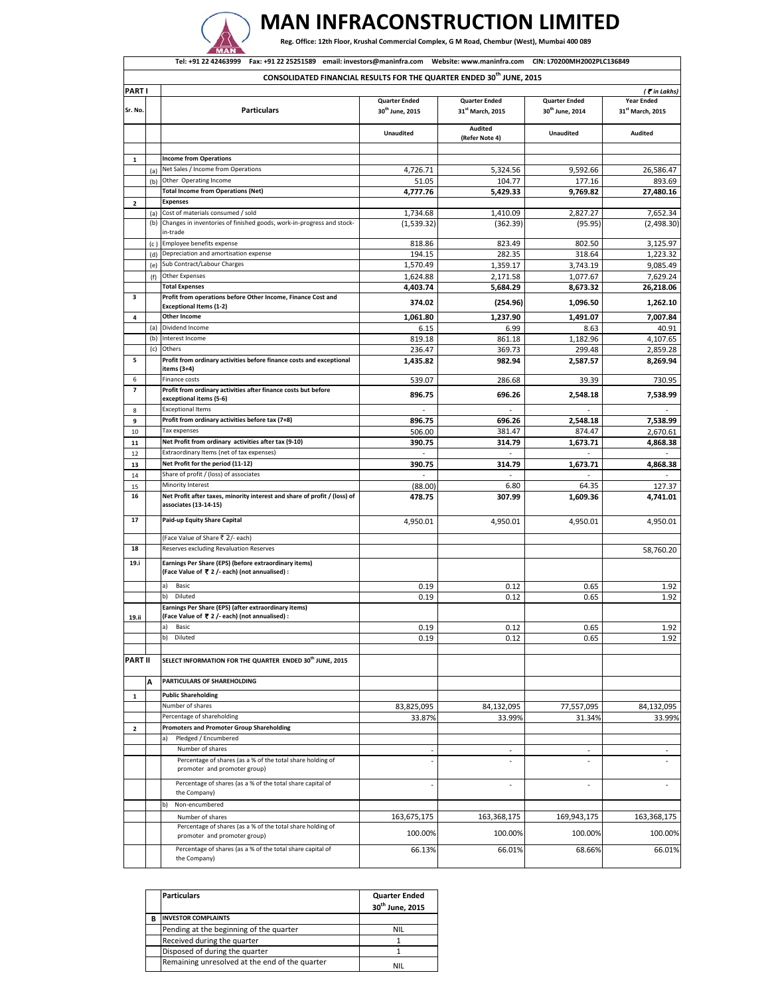

## **MAN INFRACONSTRUCTION LIMITED**

Reg. Office: 12th Floor, Krushal Commercial Complex, G M Road, Chembur (West), Mumbai 400 089

| Tel: +91 22 42463999 Fax: +91 22 25251589 email: investors@maninfra.com Website: www.maninfra.com CIN: L70200MH2002PLC136849 |            |                                                                                                                |                                                     |                                                      |                                                     |                                       |  |
|------------------------------------------------------------------------------------------------------------------------------|------------|----------------------------------------------------------------------------------------------------------------|-----------------------------------------------------|------------------------------------------------------|-----------------------------------------------------|---------------------------------------|--|
|                                                                                                                              |            | CONSOLIDATED FINANCIAL RESULTS FOR THE QUARTER ENDED 30 <sup>th</sup> JUNE, 2015                               |                                                     |                                                      |                                                     |                                       |  |
| <b>PARTI</b>                                                                                                                 |            |                                                                                                                |                                                     |                                                      |                                                     | (₹in Lakhs)                           |  |
| Sr. No.                                                                                                                      |            | <b>Particulars</b>                                                                                             | <b>Quarter Ended</b><br>30 <sup>th</sup> June, 2015 | <b>Quarter Ended</b><br>31 <sup>st</sup> March, 2015 | <b>Quarter Ended</b><br>30 <sup>th</sup> June, 2014 | <b>Year Ended</b><br>31st March, 2015 |  |
|                                                                                                                              |            |                                                                                                                | <b>Unaudited</b>                                    | Audited<br>(Refer Note 4)                            | <b>Unaudited</b>                                    | <b>Audited</b>                        |  |
|                                                                                                                              |            |                                                                                                                |                                                     |                                                      |                                                     |                                       |  |
| $\mathbf{1}$                                                                                                                 | (a)        | <b>Income from Operations</b><br>Net Sales / Income from Operations                                            | 4,726.71                                            | 5,324.56                                             | 9,592.66                                            | 26,586.47                             |  |
|                                                                                                                              |            | (b) Other Operating Income                                                                                     | 51.05                                               | 104.77                                               | 177.16                                              | 893.69                                |  |
|                                                                                                                              |            | <b>Total Income from Operations (Net)</b>                                                                      | 4,777.76                                            | 5,429.33                                             | 9,769.82                                            | 27,480.16                             |  |
| $\overline{2}$                                                                                                               |            | <b>Expenses</b>                                                                                                |                                                     |                                                      |                                                     |                                       |  |
|                                                                                                                              | (a)        | Cost of materials consumed / sold<br>(b) Changes in inventories of finished goods, work-in-progress and stock- | 1,734.68<br>(1,539.32)                              | 1,410.09<br>(362.39)                                 | 2,827.27<br>(95.95)                                 | 7,652.34<br>(2,498.30)                |  |
|                                                                                                                              |            | in-trade                                                                                                       |                                                     |                                                      |                                                     |                                       |  |
|                                                                                                                              |            | (c) Employee benefits expense                                                                                  | 818.86                                              | 823.49                                               | 802.50                                              | 3,125.97                              |  |
|                                                                                                                              | (d)        | Depreciation and amortisation expense                                                                          | 194.15                                              | 282.35                                               | 318.64                                              | 1,223.32                              |  |
|                                                                                                                              | (e)<br>(f) | Sub Contract/Labour Charges<br>Other Expenses                                                                  | 1,570.49<br>1,624.88                                | 1,359.17<br>2,171.58                                 | 3,743.19<br>1,077.67                                | 9,085.49<br>7,629.24                  |  |
|                                                                                                                              |            | <b>Total Expenses</b>                                                                                          | 4,403.74                                            | 5,684.29                                             | 8,673.32                                            | 26,218.06                             |  |
| з                                                                                                                            |            | Profit from operations before Other Income, Finance Cost and                                                   | 374.02                                              | (254.96)                                             | 1,096.50                                            | 1,262.10                              |  |
| 4                                                                                                                            |            | <b>Exceptional Items (1-2)</b><br><b>Other Income</b>                                                          | 1.061.80                                            | 1,237.90                                             | 1,491.07                                            | 7,007.84                              |  |
|                                                                                                                              |            | (a) Dividend Income                                                                                            | 6.15                                                | 6.99                                                 | 8.63                                                | 40.91                                 |  |
|                                                                                                                              | (b)        | Interest Income                                                                                                | 819.18                                              | 861.18                                               | 1,182.96                                            | 4,107.65                              |  |
|                                                                                                                              | (c)        | Others                                                                                                         | 236.47                                              | 369.73                                               | 299.48                                              | 2,859.28                              |  |
| 5                                                                                                                            |            | Profit from ordinary activities before finance costs and exceptional<br>items (3+4)                            | 1,435.82                                            | 982.94                                               | 2,587.57                                            | 8,269.94                              |  |
| 6                                                                                                                            |            | Finance costs                                                                                                  | 539.07                                              | 286.68                                               | 39.39                                               | 730.95                                |  |
| $\overline{\phantom{a}}$                                                                                                     |            | Profit from ordinary activities after finance costs but before<br>exceptional items (5-6)                      | 896.75                                              | 696.26                                               | 2,548.18                                            | 7,538.99                              |  |
| 8                                                                                                                            |            | <b>Exceptional Items</b>                                                                                       |                                                     |                                                      |                                                     |                                       |  |
| 9                                                                                                                            |            | Profit from ordinary activities before tax (7+8)                                                               | 896.75                                              | 696.26                                               | 2,548.18                                            | 7,538.99                              |  |
| 10                                                                                                                           |            | Tax expenses                                                                                                   | 506.00                                              | 381.47                                               | 874.47                                              | 2,670.61                              |  |
| 11                                                                                                                           |            | Net Profit from ordinary activities after tax (9-10)                                                           | 390.75                                              | 314.79                                               | 1,673.71                                            | 4,868.38                              |  |
| 12<br>13                                                                                                                     |            | Extraordinary Items (net of tax expenses)<br>Net Profit for the period (11-12)                                 | 390.75                                              | 314.79                                               | 1,673.71                                            | 4,868.38                              |  |
| 14                                                                                                                           |            | Share of profit / (loss) of associates                                                                         | $\sim$                                              |                                                      |                                                     |                                       |  |
| 15                                                                                                                           |            | Minority Interest                                                                                              | (88.00)                                             | 6.80                                                 | 64.35                                               | 127.37                                |  |
| 16                                                                                                                           |            | Net Profit after taxes, minority interest and share of profit / (loss) of<br>associates (13-14-15)             | 478.75                                              | 307.99                                               | 1,609.36                                            | 4,741.01                              |  |
| 17                                                                                                                           |            | Paid-up Equity Share Capital                                                                                   | 4,950.01                                            | 4,950.01                                             | 4,950.01                                            | 4,950.01                              |  |
|                                                                                                                              |            | (Face Value of Share ₹ 2/- each)                                                                               |                                                     |                                                      |                                                     |                                       |  |
| 18                                                                                                                           |            | Reserves excluding Revaluation Reserves                                                                        |                                                     |                                                      |                                                     | 58,760.20                             |  |
| 19.i                                                                                                                         |            | Earnings Per Share (EPS) (before extraordinary items)<br>(Face Value of ₹ 2 /- each) (not annualised) :        |                                                     |                                                      |                                                     |                                       |  |
|                                                                                                                              |            | Basic<br>a)                                                                                                    | 0.19                                                | 0.12                                                 | 0.65                                                | 1.92                                  |  |
|                                                                                                                              |            | Diluted<br>b)                                                                                                  | 0.19                                                | 0.12                                                 | 0.65                                                | 1.92                                  |  |
| 19.ii                                                                                                                        |            | Earnings Per Share (EPS) (after extraordinary items)<br>(Face Value of ₹ 2/- each) (not annualised) :          |                                                     |                                                      |                                                     |                                       |  |
|                                                                                                                              |            | a)<br>Basic                                                                                                    | 0.19                                                | 0.12                                                 | 0.65                                                | 1.92                                  |  |
|                                                                                                                              |            | b)<br>Diluted                                                                                                  | 0.19                                                | 0.12                                                 | 0.65                                                | 1.92                                  |  |
| <b>PART II</b>                                                                                                               |            | SELECT INFORMATION FOR THE QUARTER ENDED 30 <sup>th</sup> JUNE, 2015                                           |                                                     |                                                      |                                                     |                                       |  |
|                                                                                                                              | A          | PARTICULARS OF SHAREHOLDING                                                                                    |                                                     |                                                      |                                                     |                                       |  |
| 1                                                                                                                            |            | <b>Public Shareholding</b>                                                                                     |                                                     |                                                      |                                                     |                                       |  |
|                                                                                                                              |            | Number of shares                                                                                               | 83,825,095                                          | 84,132,095                                           | 77,557,095                                          | 84,132,095                            |  |
|                                                                                                                              |            | Percentage of shareholding                                                                                     | 33.87%                                              | 33.99%                                               | 31.34%                                              | 33.99%                                |  |
| $\overline{2}$                                                                                                               |            | <b>Promoters and Promoter Group Shareholding</b>                                                               |                                                     |                                                      |                                                     |                                       |  |
|                                                                                                                              |            | Pledged / Encumbered<br>a)<br>Number of shares                                                                 |                                                     | $\mathbf{r}$                                         |                                                     |                                       |  |
|                                                                                                                              |            | Percentage of shares (as a % of the total share holding of<br>promoter and promoter group)                     |                                                     |                                                      | $\blacksquare$                                      | $\sim$                                |  |
|                                                                                                                              |            | Percentage of shares (as a % of the total share capital of<br>the Company)                                     |                                                     |                                                      |                                                     |                                       |  |
|                                                                                                                              |            | Non-encumbered<br>b)                                                                                           |                                                     |                                                      |                                                     |                                       |  |
|                                                                                                                              |            | Number of shares                                                                                               | 163,675,175                                         | 163,368,175                                          | 169,943,175                                         | 163,368,175                           |  |
|                                                                                                                              |            | Percentage of shares (as a % of the total share holding of<br>promoter and promoter group)                     | 100.00%                                             | 100.00%                                              | 100.00%                                             | 100.00%                               |  |
|                                                                                                                              |            | Percentage of shares (as a % of the total share capital of<br>the Company)                                     | 66.13%                                              | 66.01%                                               | 68.66%                                              | 66.01%                                |  |

|   | <b>Particulars</b>                             | <b>Quarter Ended</b><br>30 <sup>th</sup> June, 2015 |
|---|------------------------------------------------|-----------------------------------------------------|
| в | <b>INVESTOR COMPLAINTS</b>                     |                                                     |
|   | Pending at the beginning of the quarter        | <b>NIL</b>                                          |
|   | Received during the quarter                    |                                                     |
|   | Disposed of during the quarter                 |                                                     |
|   | Remaining unresolved at the end of the quarter | ΝIΙ                                                 |